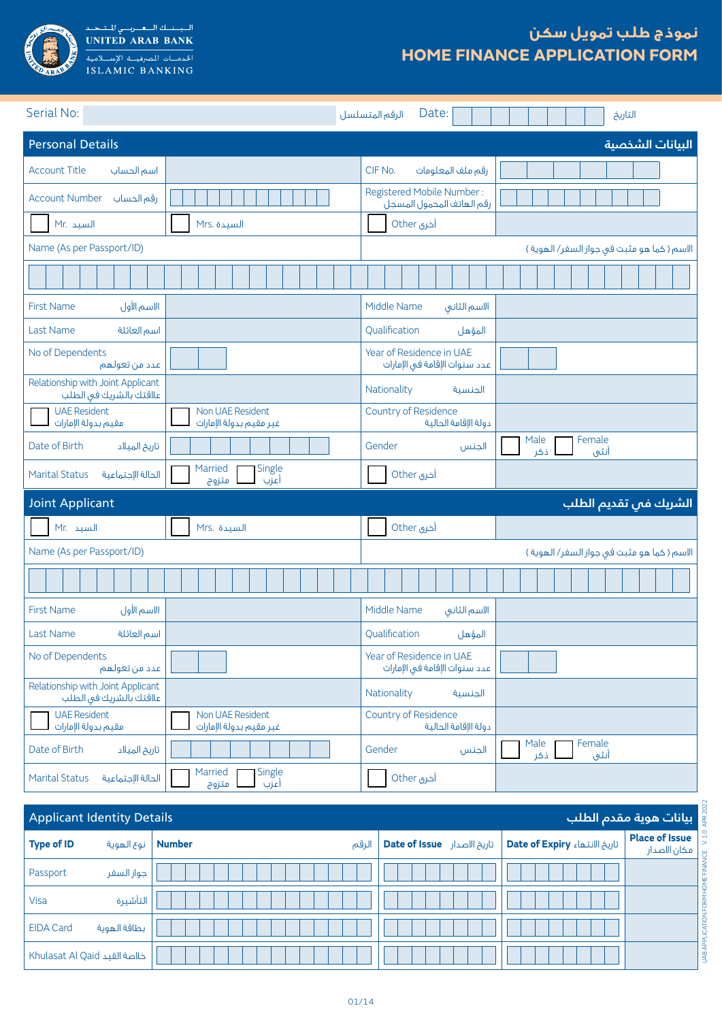

السياسة السعريسي للمتبحيد<br>UNITED ARAB BANK ISLAMIC BANKING

# **نموذج طلب تمويل سكن HOME FINANCE APPLICATION FORM**

| Serial No:                                                   |                                             | Date:<br>الرقم المتسلسل                                   | التاريخ                                     |
|--------------------------------------------------------------|---------------------------------------------|-----------------------------------------------------------|---------------------------------------------|
| <b>Personal Details</b>                                      |                                             |                                                           | البيانات الشخصية                            |
| <b>Account Title</b><br>أسم الحساب                           |                                             | CIF No.<br>رقم ملف المعلومات                              |                                             |
| <b>Account Number</b><br>رقم الحساب                          |                                             | Registered Mobile Number:<br>رقم الهاتف المحمول المسجل    |                                             |
| Mr. السيد                                                    | Mrs. السيدة                                 | أخرى Other                                                |                                             |
| Name (As per Passport/ID)                                    |                                             |                                                           | الاسم ( كما هو مثبت فى جواز السفر/ الهوية ) |
|                                                              |                                             |                                                           |                                             |
| الاسم الأول<br><b>First Name</b>                             |                                             | Middle Name<br>الاسم الثانى                               |                                             |
| <b>Last Name</b><br>اسم العائلة                              |                                             | Qualification<br>المؤهل                                   |                                             |
| No of Dependents<br>عدد من تعولهم                            |                                             | Year of Residence in UAE<br>عدد سنوات الإقامة فى الإمارات |                                             |
| Relationship with Joint Applicant<br>علاقتك بالشريك فى الطلب |                                             | Nationality<br>الجنسية                                    |                                             |
| <b>UAE Resident</b><br>مقيم بدولة الإمارات                   | Non UAE Resident<br>غير مقيم بدولة الإمارات | Country of Residence<br>دولة الإقامة الحالية              |                                             |
| Date of Birth<br>تاريخ الميلاد                               |                                             | Gender<br>الجنس                                           | Male<br>Female<br>ذكر<br>أنثى               |
| الحالة الإجتماعية<br><b>Marital Status</b>                   | Married<br>Single<br>أعزب<br>متزوج          | أخرى Other                                                |                                             |
| <b>Joint Applicant</b>                                       |                                             |                                                           | الشريك فى تقديم الطلب                       |
| Mr. السيد                                                    | Mrs. السيدة                                 | أخرى Other                                                |                                             |
| Name (As per Passport/ID)                                    |                                             |                                                           | الاسم ( كما هو مثبت فى جواز السفر/ الهوية ) |
|                                                              |                                             |                                                           |                                             |
| الاسم الأول<br><b>First Name</b>                             |                                             | Middle Name<br>الاسم الثانى                               |                                             |
| <b>Last Name</b><br>اسم العائلة                              |                                             | Qualification<br>المؤهل                                   |                                             |
| No of Dependents<br>عدد من تعولهم                            |                                             | Year of Residence in UAE<br>عدد سنوات الإقامة في الإمارات |                                             |
| Relationship with Joint Applicant<br>علاقتك بالشريك فى الطلب |                                             | Nationality<br>الجنسية                                    |                                             |
| <b>UAE Resident</b><br>مقيم بدولة الإمارات                   | Non UAE Resident<br>غير مقيم بدولة الإمارات | Country of Residence<br>دولة الإقامة الحالية              |                                             |
| Date of Birth<br>تاريخ الميلاد                               |                                             | Gender<br>الجنس                                           | Female<br>Male<br>أنثى<br>ذكر               |
| الحالة الإجتماعية<br><b>Marital Status</b>                   | Married<br>Single<br>أعزب<br>متزوج          | أخرى Other                                                |                                             |

| <b>Applicant Identity Details</b><br>بيانات هوية مقدم الطلب |                              |                        |                             |                               |                                       |  |  |
|-------------------------------------------------------------|------------------------------|------------------------|-----------------------------|-------------------------------|---------------------------------------|--|--|
| <b>Type of ID</b>                                           | نوع الهوية                   | <b>Number</b><br>الرقم | تاريخ الاصدار Date of Issue | تاريخ الانتهاء Date of Expiry | <b>Place of Issue</b><br>مكان الاصدار |  |  |
| Passport                                                    | جواز السفر                   |                        |                             |                               |                                       |  |  |
| Visa                                                        | التأشيرة                     |                        |                             |                               |                                       |  |  |
| <b>EIDA Card</b>                                            | بطاقة الهوية                 |                        |                             |                               |                                       |  |  |
|                                                             | Khulasat Al Qaid خلاصة القيد |                        |                             |                               |                                       |  |  |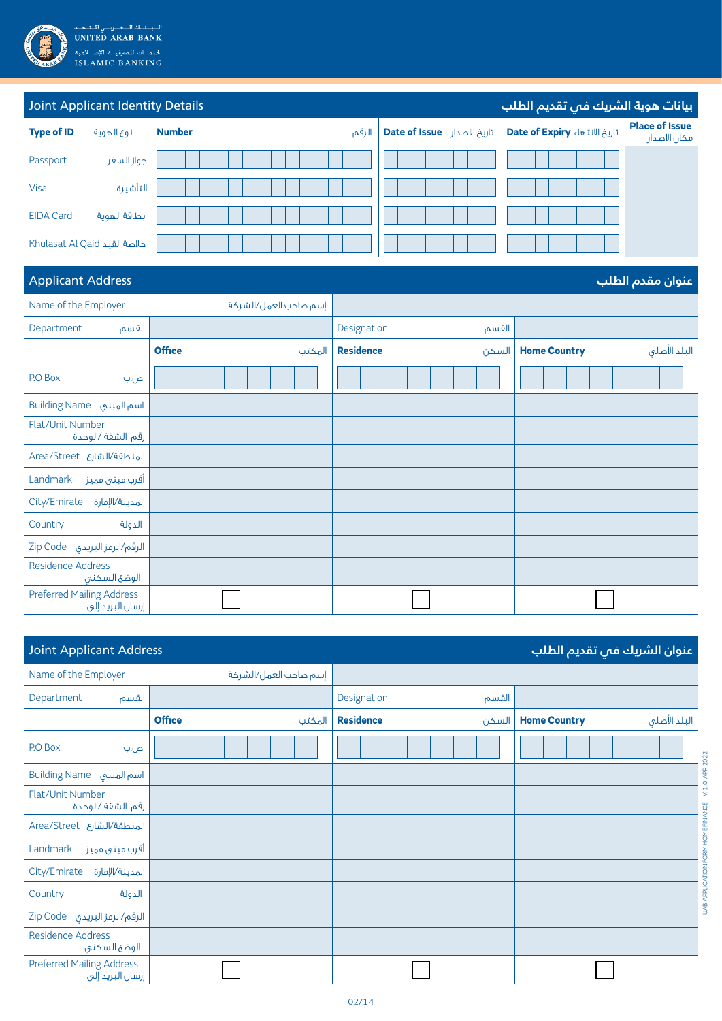

| Joint Applicant Identity Details<br>بيانات هوية الشريك فمي تقديم الطلب |                              |                        |                             |                               |                                       |  |
|------------------------------------------------------------------------|------------------------------|------------------------|-----------------------------|-------------------------------|---------------------------------------|--|
| <b>Type of ID</b>                                                      | نوع الهوية                   | <b>Number</b><br>الرقم | تاريخ الاصدار Date of Issue | تاريخ الانتهاء Date of Expiry | <b>Place of Issue</b><br>مكان الاصدار |  |
| Passport                                                               | جواز السفر                   |                        |                             |                               |                                       |  |
| <b>Visa</b>                                                            | التأشيرة                     |                        |                             |                               |                                       |  |
| <b>EIDA Card</b>                                                       | بطاقة الهوية                 |                        |                             |                               |                                       |  |
|                                                                        | Khulasat Al Qaid خلاصة القيد |                        |                             |                               |                                       |  |

## **عنوان مقدم الطلب** Address Applicant

| . .                                                  |                         |                           |                                     |
|------------------------------------------------------|-------------------------|---------------------------|-------------------------------------|
| Name of the Employer                                 | إسم صاحب العمل/الشركة   |                           |                                     |
| Department<br>القسم                                  |                         | Designation<br>القسم      |                                     |
|                                                      | <b>Office</b><br>المكتب | <b>Residence</b><br>السكن | البلد الأصلى<br><b>Home Country</b> |
| P.O Box<br>ص.ب                                       |                         |                           |                                     |
| <b>Building Name</b> اسم المبنى                      |                         |                           |                                     |
| Flat/Unit Number<br>رقم الشقة /الوحدة                |                         |                           |                                     |
| Area/Street المنطقة/الشارع                           |                         |                           |                                     |
| Landmark<br>أقرب مبنى مميز                           |                         |                           |                                     |
| المدينة/الإمارة<br>City/Emirate                      |                         |                           |                                     |
| الدولة<br>Country                                    |                         |                           |                                     |
| الرقم/الرمز البريدي Zip Code                         |                         |                           |                                     |
| <b>Residence Address</b><br>الوضع السكنى             |                         |                           |                                     |
| <b>Preferred Mailing Address</b><br>إرسال البريد إلى |                         |                           |                                     |

|                                                      | <b>Joint Applicant Address</b><br>عنوان الشريك فى تقديم الطلب |                           |                                     |  |  |  |
|------------------------------------------------------|---------------------------------------------------------------|---------------------------|-------------------------------------|--|--|--|
| Name of the Employer                                 | إسم صاحب العمل/الشركة                                         |                           |                                     |  |  |  |
| Department<br>القسم                                  |                                                               | Designation<br>القسم      |                                     |  |  |  |
|                                                      | <b>Office</b><br>المكتب                                       | <b>Residence</b><br>السكن | البلد الأصلى<br><b>Home Country</b> |  |  |  |
| P.O Box<br>ص.ب                                       |                                                               |                           |                                     |  |  |  |
| <b>Building Name</b> اسم المبنى                      |                                                               |                           |                                     |  |  |  |
| Flat/Unit Number<br>رقم الشقة /الوحدة                |                                                               |                           |                                     |  |  |  |
| Area/Street المنطقة/الشارع                           |                                                               |                           |                                     |  |  |  |
| Landmark<br>أقرب مبنى مميز                           |                                                               |                           |                                     |  |  |  |
| City/Emirate<br>المدينة/الإمارة                      |                                                               |                           |                                     |  |  |  |
| Country<br>الدولة                                    |                                                               |                           |                                     |  |  |  |
| الرقم/الرمز البريدي Zip Code                         |                                                               |                           |                                     |  |  |  |
| <b>Residence Address</b><br>الوضع السكنى             |                                                               |                           |                                     |  |  |  |
| <b>Preferred Mailing Address</b><br>إرسال البريد إلى |                                                               |                           |                                     |  |  |  |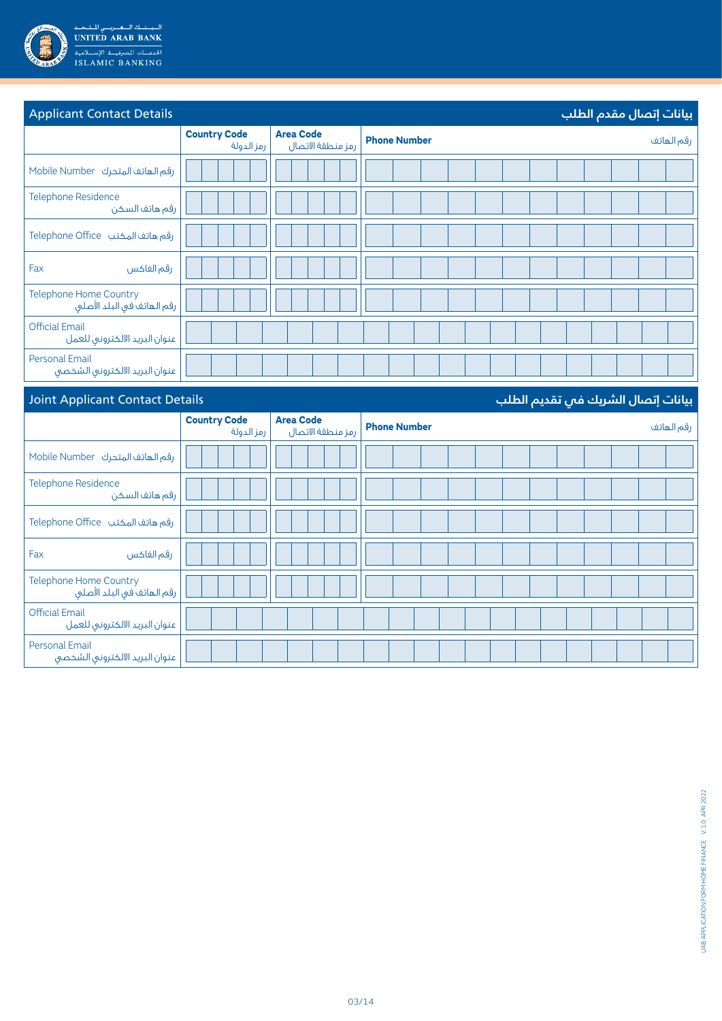

| <b>Applicant Contact Details</b>                                                                                |                                   |                                       | بيانات إتصال مقدم الطلب                                                                                                                                                                                                                                  |
|-----------------------------------------------------------------------------------------------------------------|-----------------------------------|---------------------------------------|----------------------------------------------------------------------------------------------------------------------------------------------------------------------------------------------------------------------------------------------------------|
|                                                                                                                 | <b>Country Code</b><br>رمز الدولة | <b>Area Code</b><br>رمز منطقة الاتصال | <b>Phone Number</b><br>رقم الهاتف                                                                                                                                                                                                                        |
| Mobile Number رقم الهاتف المتحرك                                                                                |                                   |                                       |                                                                                                                                                                                                                                                          |
| Telephone Residence<br>رقم هاتف السكن                                                                           |                                   |                                       |                                                                                                                                                                                                                                                          |
| رقم هاتف المكتب Felephone Office                                                                                |                                   |                                       |                                                                                                                                                                                                                                                          |
| Fax<br>رقم الفاكس                                                                                               |                                   |                                       |                                                                                                                                                                                                                                                          |
| <b>Telephone Home Country</b><br>رقم الهاتف في البلد الأصلي                                                     |                                   |                                       |                                                                                                                                                                                                                                                          |
| <b>Official Email</b><br>عنوان البريد الالكتروني للعمل                                                          |                                   |                                       |                                                                                                                                                                                                                                                          |
| <b>Personal Email</b><br>عنوان البريد الالكتروني الشخصي                                                         |                                   |                                       |                                                                                                                                                                                                                                                          |
| the contract of the contract of the contract of the contract of the contract of the contract of the contract of |                                   |                                       | the company of the company of the company of the company of the company of the company of the company of the company of the company of the company of the company of the company of the company of the company of the company<br><b>SALE STATE STATE</b> |

| Joint Applicant Contact Details<br>بيانات إتصال الشريك فى تقديم الطلب |                                   |                                       |                     |            |
|-----------------------------------------------------------------------|-----------------------------------|---------------------------------------|---------------------|------------|
|                                                                       | <b>Country Code</b><br>رمز الدولة | <b>Area Code</b><br>رمز منطقة الاتصال | <b>Phone Number</b> | رقم الهاتف |
| Mobile Number رقم الهاتف المتحرك                                      |                                   |                                       |                     |            |
| <b>Telephone Residence</b><br>رقم هاتف السكن                          |                                   |                                       |                     |            |
| رقم هاتف المكتب Telephone Office                                      |                                   |                                       |                     |            |
| Fax<br>رقم الفاكس                                                     |                                   |                                       |                     |            |
| Telephone Home Country<br>رقم الهاتف في البلد الأصلي                  |                                   |                                       |                     |            |
| <b>Official Email</b><br>عنوان البريد الالكتروني للعمل                |                                   |                                       |                     |            |
| <b>Personal Email</b><br>عنوان البريد الالكترونى الشخصى               |                                   |                                       |                     |            |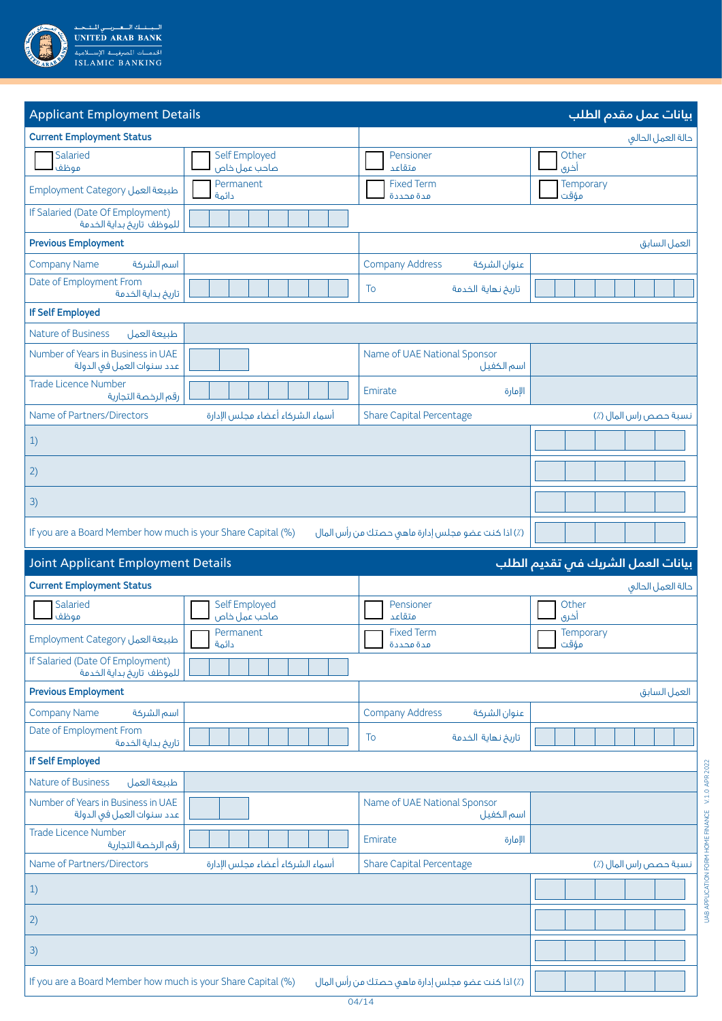

| <b>Applicant Employment Details</b>                             |                                  |                                                   | بيانات عمل مقدم الطلب              |
|-----------------------------------------------------------------|----------------------------------|---------------------------------------------------|------------------------------------|
| <b>Current Employment Status</b>                                |                                  |                                                   | حالة العمل الحالى                  |
| Salaried<br>موظف                                                | Self Employed<br>صاحب عمل خاص    | Pensioner<br>متقاعد                               | Other<br>أخرى                      |
| Employment Category طبيعة العمل                                 | Permanent<br>دائمة               | <b>Fixed Term</b><br>مدة محددة                    | Temporary<br>مؤقت                  |
| If Salaried (Date Of Employment)<br>للموظف تاريخ بداية الخدمة   |                                  |                                                   |                                    |
| <b>Previous Employment</b>                                      |                                  |                                                   | العمل السابق                       |
| <b>Company Name</b><br>اسم الشركة                               |                                  | <b>Company Address</b><br>عنوان الشركة            |                                    |
| Date of Employment From<br>تاريخ بداية الخدمة                   |                                  | To<br>تاريخ نهاية الخدمة                          |                                    |
| <b>If Self Employed</b>                                         |                                  |                                                   |                                    |
| Nature of Business<br>طبيعة العمل                               |                                  |                                                   |                                    |
| Number of Years in Business in UAE<br>عدد سنوات العمل في الدولة |                                  | Name of UAE National Sponsor<br>اسم الكفيل        |                                    |
| <b>Trade Licence Number</b><br>رقم الرخصة التجارية              |                                  | Emirate<br>الإمارة                                |                                    |
| Name of Partners/Directors                                      | أسماء الشركاء أعضاء مجلس الإدارة | <b>Share Capital Percentage</b>                   | نسبة حصص راس المال (٪)             |
| 1)                                                              |                                  |                                                   |                                    |
| 2)                                                              |                                  |                                                   |                                    |
| 3)                                                              |                                  |                                                   |                                    |
| If you are a Board Member how much is your Share Capital (%)    |                                  | (٪) اذا كنت عضو مجلس إدارة ماهى حصتك من رأس المال |                                    |
|                                                                 |                                  |                                                   |                                    |
| <b>Joint Applicant Employment Details</b>                       |                                  |                                                   | بيانات العمل الشريك فب تقديم الطلب |
| <b>Current Employment Status</b>                                |                                  |                                                   | حالة العمل الحالق                  |
| Salaried<br>موظف                                                | Self Employed<br>صاحب عمل خاص    | Pensioner<br>متقاعد                               | Other<br>أخرى                      |
| Employment Category طبيعة العمل                                 | Permanent<br>دائمة               | <b>Fixed Term</b><br>مدة محددة                    | Temporary<br>مؤقت                  |
| If Salaried (Date Of Employment)<br>للموظف تاريخ بداية الخدمة   |                                  |                                                   |                                    |
| <b>Previous Employment</b>                                      |                                  |                                                   | العمل السابق                       |
| <b>Company Name</b><br>اسم الشركة                               |                                  | <b>Company Address</b><br>عنوان الشركة            |                                    |
| Date of Employment From<br>تاريخ بداية الخدمة                   |                                  | تاريخ نهاية الخدمة<br>To                          |                                    |
| <b>If Self Employed</b>                                         |                                  |                                                   |                                    |
| <b>Nature of Business</b><br>طبيعة العمل                        |                                  |                                                   |                                    |
| Number of Years in Business in UAE<br>عدد سنوات العمل في الدولة |                                  | Name of UAE National Sponsor<br>اسم الكفيل        |                                    |
| <b>Trade Licence Number</b><br>رقم الرخصة التجارية              |                                  | Emirate<br>الإمارة                                |                                    |
| Name of Partners/Directors                                      | أسماء الشركاء أعضاء مجلس الإدارة | <b>Share Capital Percentage</b>                   | نسبة حصص راس المال (٪)             |
| 1)                                                              |                                  |                                                   |                                    |
| 2)                                                              |                                  |                                                   |                                    |
| 3)                                                              |                                  |                                                   |                                    |

UAB APPLICATION FORM HOME FINANCE V. 1.0 APR 2022

UAB APPUCATION FORM HOME FINANCE V. 1.0 APR 2022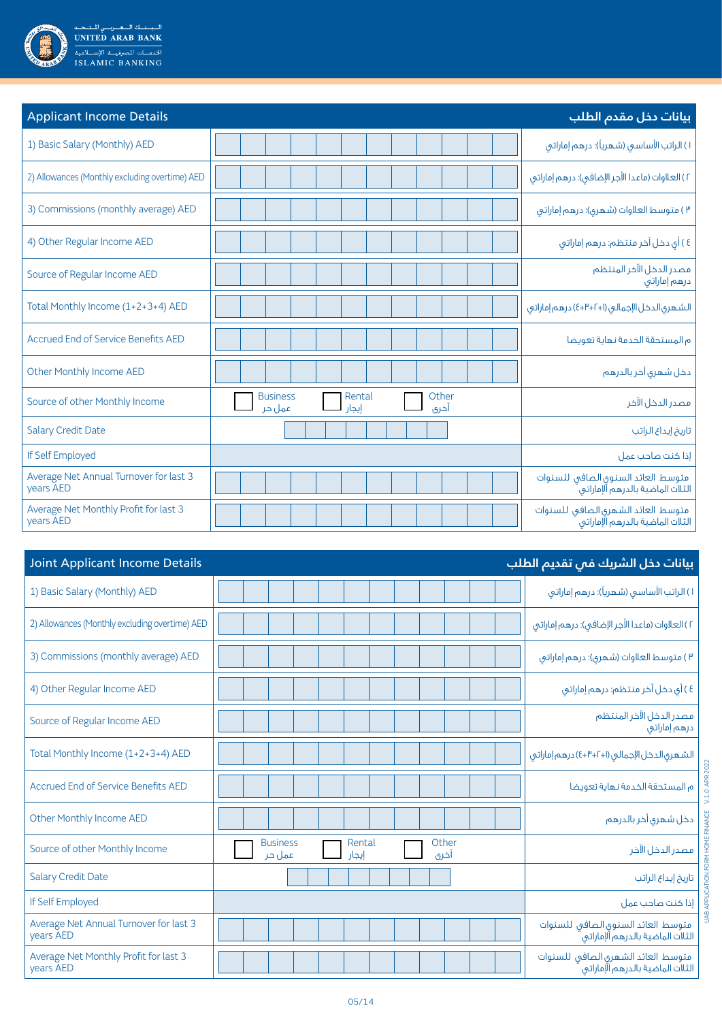

| <b>Applicant Income Details</b>                     |                                                               | بيانات دخل مقدم الطلب                                                  |
|-----------------------------------------------------|---------------------------------------------------------------|------------------------------------------------------------------------|
| 1) Basic Salary (Monthly) AED                       |                                                               | ۱) الراتب الأساسي (شهرياً): درهم إماراتي                               |
| 2) Allowances (Monthly excluding overtime) AED      |                                                               | ٢ ) العلاوات (ماعدا الأجر الإضافي): درهم إماراتي                       |
| 3) Commissions (monthly average) AED                |                                                               | ٣) متوسط العلاوات (شهري): درهم إماراتي                                 |
| 4) Other Regular Income AED                         |                                                               | ٤ ) أي دخل آخر منتظم: درهم إماراتي                                     |
| Source of Regular Income AED                        |                                                               | مصدر الدخل الآخر المنتظم<br>درهم إماراتي                               |
| Total Monthly Income (1+2+3+4) AED                  |                                                               | الشهرى الدخل الإجمالي (١+٢++٤) درهم إماراتي                            |
| Accrued End of Service Benefits AED                 |                                                               | م المستحقة الخدمة نهاية تعويضا                                         |
| Other Monthly Income AED                            |                                                               | دخل شهري أخر بالدرهم                                                   |
| Source of other Monthly Income                      | <b>Business</b><br>Other<br>Rental<br>أخرى<br>عمل جر<br>إيجار | مصدر الدخل الآخر                                                       |
| <b>Salary Credit Date</b>                           |                                                               | تاريخ إيداع الراتب                                                     |
| If Self Employed                                    |                                                               | إذا كنت صاحب عمل                                                       |
| Average Net Annual Turnover for last 3<br>years AED |                                                               | متوسط العائد السنوق الصافى للسنوات<br>الثلات الماضية بالدرهم آلإماراته |
| Average Net Monthly Profit for last 3<br>years AED  |                                                               | متوسط العائد الشهرى الصافى للسنوات<br>الثلات الماضية بالدرهم الإماراتى |

| <b>Joint Applicant Income Details</b>               |                                                               | بيانات دخل الشريك في تقديم الطلب                                       |
|-----------------------------------------------------|---------------------------------------------------------------|------------------------------------------------------------------------|
| 1) Basic Salary (Monthly) AED                       |                                                               | ۱) الراتب الأساسي (شهرياً): درهم إماراتي                               |
| 2) Allowances (Monthly excluding overtime) AED      |                                                               | ٢ ) العلاوات (ماعدا الأجر الإضافي): درهم إماراتي                       |
| 3) Commissions (monthly average) AED                |                                                               | ۳) متوسط العلاوات (شهری): درهم إماراتی                                 |
| 4) Other Regular Income AED                         |                                                               | ٤ ) أي دخل آخر منتظم: درهم إماراتي                                     |
| Source of Regular Income AED                        |                                                               | مصدر الدخل الآخر المنتظم<br>درهم إماراتي                               |
| Total Monthly Income (1+2+3+4) AED                  |                                                               | الشهرى الدخل الإجمالي (١+٢+٣+٤) درهم إماراتي                           |
| Accrued End of Service Benefits AED                 |                                                               | م المستحقة الخدمة نهاية تعويضا                                         |
| Other Monthly Income AED                            |                                                               | دخل شهرى أخر بالدرهم                                                   |
| Source of other Monthly Income                      | <b>Business</b><br>Rental<br>Other<br>آخری<br>عمل حر<br>إيجار | مصدر الدخل الآخر                                                       |
| <b>Salary Credit Date</b>                           |                                                               | تاريخ إيداع الراتب                                                     |
| If Self Employed                                    |                                                               | إذا كنت صاحب عمل                                                       |
| Average Net Annual Turnover for last 3<br>vears AED |                                                               | متوسط العائد السنوق الصافى للسنوات<br>الثلات الماضية بالدرهم آلإماراتى |
| Average Net Monthly Profit for last 3<br>years AED  |                                                               | متوسط العائد الشهرى الصافى للسنوات<br>الثلات الماضية بالدرهم الإماراتى |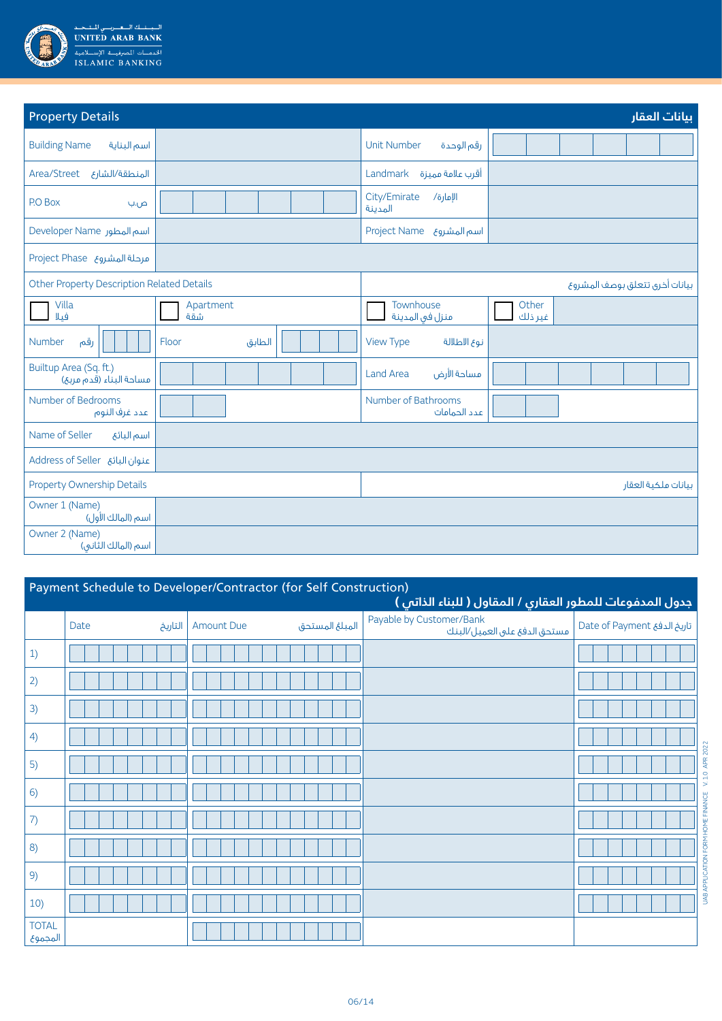

| <b>Property Details</b>                           |                  |                                     | بيانات العقار                  |
|---------------------------------------------------|------------------|-------------------------------------|--------------------------------|
| <b>Building Name</b><br>اسم البناية               |                  | <b>Unit Number</b><br>رقم الوحدة    |                                |
| Area/Street المنطقة/الشارع                        |                  | Landmark أقرب علامة مميزة           |                                |
| P.O Box<br>ص.ب                                    |                  | City/Emirate<br>الإمارة/<br>المدينة |                                |
| Developer Name اسم المطور                         |                  | Project Name <b>broject Name</b>    |                                |
| Aroject Phase ورحلة المشروع                       |                  |                                     |                                |
| <b>Other Property Description Related Details</b> |                  |                                     | بيانات أخرق تتعلق بوصف المشروع |
| Villa<br>فيلا                                     | Apartment<br>شقة | Townhouse<br>منزل فى المدينة        | Other<br>غير ذلك               |
| رقم<br>Number                                     | Floor<br>الطابق  | <b>View Type</b><br>نوع الاطلالة    |                                |
| Builtup Area (Sq. ft.)<br>مساحة البناء (قدم مربع) |                  | مساحة الأرض<br><b>Land Area</b>     |                                |
| Number of Bedrooms<br>عدد غرف النوم               |                  | Number of Bathrooms<br>عدد الحمامات |                                |
| Name of Seller<br>اسم البائع                      |                  |                                     |                                |
| Address of Seller عنوان البائع                    |                  |                                     |                                |
| Property Ownership Details                        |                  |                                     | بيانات ملكية العقار            |
| Owner 1 (Name)<br>اسم (المالك الأول)              |                  |                                     |                                |
| Owner 2 (Name)<br>اسم (المالك الثاني)             |                  |                                     |                                |

| Payment Schedule to Developer/Contractor (for Self Construction)<br>جدول المدفوعات للمطور العقارى / المقاول ( للبناء الذاتى ) |                 |                                     |                                                          |                             |  |  |  |
|-------------------------------------------------------------------------------------------------------------------------------|-----------------|-------------------------------------|----------------------------------------------------------|-----------------------------|--|--|--|
|                                                                                                                               | Date<br>التاريخ | المبلغ المستحق<br><b>Amount Due</b> | Payable by Customer/Bank<br>مستحق الدفع على العميل/البنك | Date of Payment تاريخ الدفع |  |  |  |
| 1)                                                                                                                            |                 |                                     |                                                          |                             |  |  |  |
| 2)                                                                                                                            |                 |                                     |                                                          |                             |  |  |  |
| 3)                                                                                                                            |                 |                                     |                                                          |                             |  |  |  |
| 4)                                                                                                                            |                 |                                     |                                                          |                             |  |  |  |
| 5)                                                                                                                            |                 |                                     |                                                          |                             |  |  |  |
| 6)                                                                                                                            |                 |                                     |                                                          |                             |  |  |  |
| 7)                                                                                                                            |                 |                                     |                                                          |                             |  |  |  |
| 8)                                                                                                                            |                 |                                     |                                                          |                             |  |  |  |
| 9)                                                                                                                            |                 |                                     |                                                          |                             |  |  |  |
| 10)                                                                                                                           |                 |                                     |                                                          |                             |  |  |  |
| <b>TOTAL</b><br>المجموع                                                                                                       |                 |                                     |                                                          |                             |  |  |  |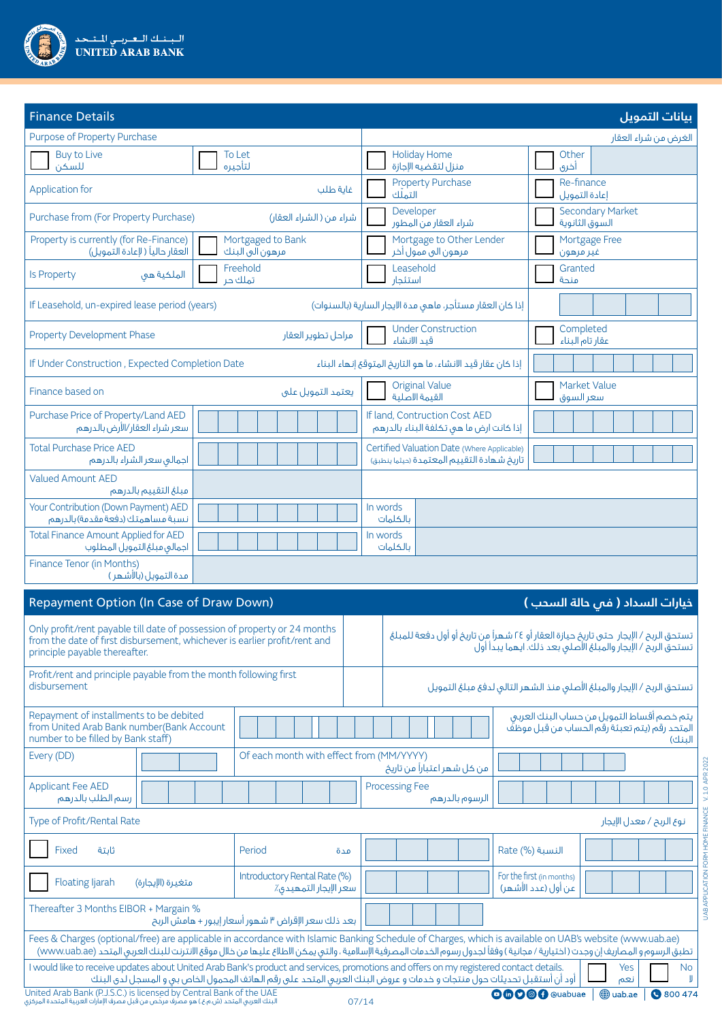

| <b>Finance Details</b>                                                                                                                                                                                                                                                                                                                       |                                                       |                                                                                                                        | بيانات التمويل                                                                                                                                        |
|----------------------------------------------------------------------------------------------------------------------------------------------------------------------------------------------------------------------------------------------------------------------------------------------------------------------------------------------|-------------------------------------------------------|------------------------------------------------------------------------------------------------------------------------|-------------------------------------------------------------------------------------------------------------------------------------------------------|
| Purpose of Property Purchase                                                                                                                                                                                                                                                                                                                 |                                                       |                                                                                                                        | الغرض من شراء العقار                                                                                                                                  |
| <b>Buy to Live</b><br>للسكن                                                                                                                                                                                                                                                                                                                  | To Let<br>لتأجيره                                     | <b>Holiday Home</b><br>منزل لتقضيه الإجازة                                                                             | Other<br>أخرى                                                                                                                                         |
| Application for                                                                                                                                                                                                                                                                                                                              | غاية طلب                                              | <b>Property Purchase</b><br>التملّك                                                                                    | Re-finance<br>إعادة التمويل                                                                                                                           |
| Purchase from (For Property Purchase)                                                                                                                                                                                                                                                                                                        | شراء من ( الشراء العقار)                              | Developer<br>شراء العقار من المطور                                                                                     | <b>Secondary Market</b><br>السوق الثانوية                                                                                                             |
| Property is currently (for Re-Finance)<br>العقار حالياً ( لإعادة التمويل)                                                                                                                                                                                                                                                                    | Mortgaged to Bank<br>مرهون الى البنك                  | Mortgage to Other Lender<br>مرهون الى ممول أخر                                                                         | Mortgage Free<br>غير مرهون                                                                                                                            |
| الملكية هى<br><b>Is Property</b>                                                                                                                                                                                                                                                                                                             | Freehold<br>تملك حر                                   | Leasehold<br>استئحار                                                                                                   | Granted<br>منحة                                                                                                                                       |
| If Leasehold, un-expired lease period (years)                                                                                                                                                                                                                                                                                                |                                                       | إذا كان العقار مستأجر، ماهى مدة الايجار السارية (بالسنوات)                                                             |                                                                                                                                                       |
| Property Development Phase                                                                                                                                                                                                                                                                                                                   | مراحل تطوير العقار                                    | <b>Under Construction</b><br>قيد الانشاء                                                                               | Completed<br>عقارتاه البناء                                                                                                                           |
| If Under Construction, Expected Completion Date                                                                                                                                                                                                                                                                                              |                                                       | إذا كان عقار قيد الانشاء، ما هو التاريخ المتوقع إنهاء البناء                                                           |                                                                                                                                                       |
| Finance based on                                                                                                                                                                                                                                                                                                                             | يعتمد التمويل على                                     | <b>Original Value</b><br>القيمة الاصلية                                                                                | Market Value<br>سعر السوق                                                                                                                             |
| Purchase Price of Property/Land AED<br>سعر شراء العقار/الأرض بالدرهم                                                                                                                                                                                                                                                                         |                                                       | If land, Contruction Cost AED<br>إذا كانت ارض ما هي تكلفة البناء بالدرهم                                               |                                                                                                                                                       |
| <b>Total Purchase Price AED</b><br>اجمالى سعر الشراء بالدرهم                                                                                                                                                                                                                                                                                 |                                                       | Certified Valuation Date (Where Applicable)<br>تاريخ شهادة التقييم المعتمدة (ديثما ينطبق)                              |                                                                                                                                                       |
| <b>Valued Amount AED</b><br>مبلغ التقييم بالدرهم                                                                                                                                                                                                                                                                                             |                                                       |                                                                                                                        |                                                                                                                                                       |
| Your Contribution (Down Payment) AED<br>نسبة مساهمتك (دفعة مقدمة) بالدرهم                                                                                                                                                                                                                                                                    |                                                       | In words<br>بالكلمات                                                                                                   |                                                                                                                                                       |
| <b>Total Finance Amount Applied for AED</b><br>اجمالى مبلغ التمويل المطلوب                                                                                                                                                                                                                                                                   |                                                       | In words<br>بالكلمات                                                                                                   |                                                                                                                                                       |
| Finance Tenor (in Months)<br>مدة التمويل (بالأشهر )                                                                                                                                                                                                                                                                                          |                                                       |                                                                                                                        |                                                                                                                                                       |
| Repayment Option (In Case of Draw Down)                                                                                                                                                                                                                                                                                                      |                                                       |                                                                                                                        | خيارات السداد ( فم حالة السحب )                                                                                                                       |
| Only profit/rent payable till date of possession of property or 24 months<br>from the date of first disbursement, whichever is earlier profit/rent and<br>principle payable thereafter.                                                                                                                                                      |                                                       |                                                                                                                        | تستحق الربح / الإيجار  حتى تاريخ حيازة العقار أو ٢٤ شهراً من تاريخ أو أول دفعة للمبلغ<br>تستحق الربح / الإيجار والمبلغ الاصلى بعد ذلك. ايهما يبدا اول |
| Profit/rent and principle payable from the month following first<br>disbursement                                                                                                                                                                                                                                                             |                                                       |                                                                                                                        | تستحق الربح / الإيجار والمبلغ الأصلى منذ الشهر التالى لدفع مبلغ التمويل                                                                               |
| Repayment of installments to be debited<br>from United Arab Bank number(Bank Account<br>number to be filled by Bank staff)                                                                                                                                                                                                                   |                                                       |                                                                                                                        | يتم خصم أقساط التمويل من حساب البنك العربى<br>المتحد رقم (يتم تعبئة رقم الحساب من قبل موظفً<br>الىنك)                                                 |
| Every (DD)                                                                                                                                                                                                                                                                                                                                   | Of each month with effect from (MM/YYYY)              | من كل شهر اعتباراً من تاريخ                                                                                            |                                                                                                                                                       |
| <b>Applicant Fee AED</b><br>رسم الطلب بالدرهم                                                                                                                                                                                                                                                                                                |                                                       | <b>Processing Fee</b><br>الرسوم بالدرهم                                                                                | V. 1.0 APR 2022                                                                                                                                       |
| Type of Profit/Rental Rate                                                                                                                                                                                                                                                                                                                   |                                                       |                                                                                                                        | نوع الربح / معدل الإيجار                                                                                                                              |
| Fixed<br>ثابتة                                                                                                                                                                                                                                                                                                                               | Period<br>مدة                                         |                                                                                                                        | <b>Rate (%)</b> النسبة                                                                                                                                |
| <b>Floating ljarah</b><br>متغيرة (الإيجارة)                                                                                                                                                                                                                                                                                                  | Introductory Rental Rate (%)<br>سعر الإيجار التمهيدي٪ |                                                                                                                        | UAB APPLICATION FORM HOME FINANCE<br>For the first (in months)<br>عن أول (عدد الأشهر)                                                                 |
| Thereafter 3 Months EIBOR + Margain %                                                                                                                                                                                                                                                                                                        | بعد ذلك سعر الإقراض ٣ شهور أسعار إيبور + هامش الربح   |                                                                                                                        |                                                                                                                                                       |
| Fees & Charges (optional/free) are applicable in accordance with Islamic Banking Schedule of Charges, which is available on UAB's website (www.uab.ae)<br>تطبق الرسوم و المصاريف إن وجدت ( اختيارية / مجانية ) وفقاً لجدول رسوم الخدمات المصرفية الإسلامية ، والتي يمكن الاطلاع عليها من خلال موقع الانترنت للبنك العربي المتحد (www.uab.ae) |                                                       |                                                                                                                        |                                                                                                                                                       |
| I would like to receive updates about United Arab Bank's product and services, promotions and offers on my registered contact details.                                                                                                                                                                                                       |                                                       | أود أن أستقبل تحديثات حول منتجات و خدمات و عروض البنك العربى المتحد على رقم الهاتف المحمول الخاص بى و المسجل لدى البنك | Yes<br><b>No</b><br>نعم<br>IJ                                                                                                                         |

**OGOOO** @uabuae | @uab.ae | **@** 800 474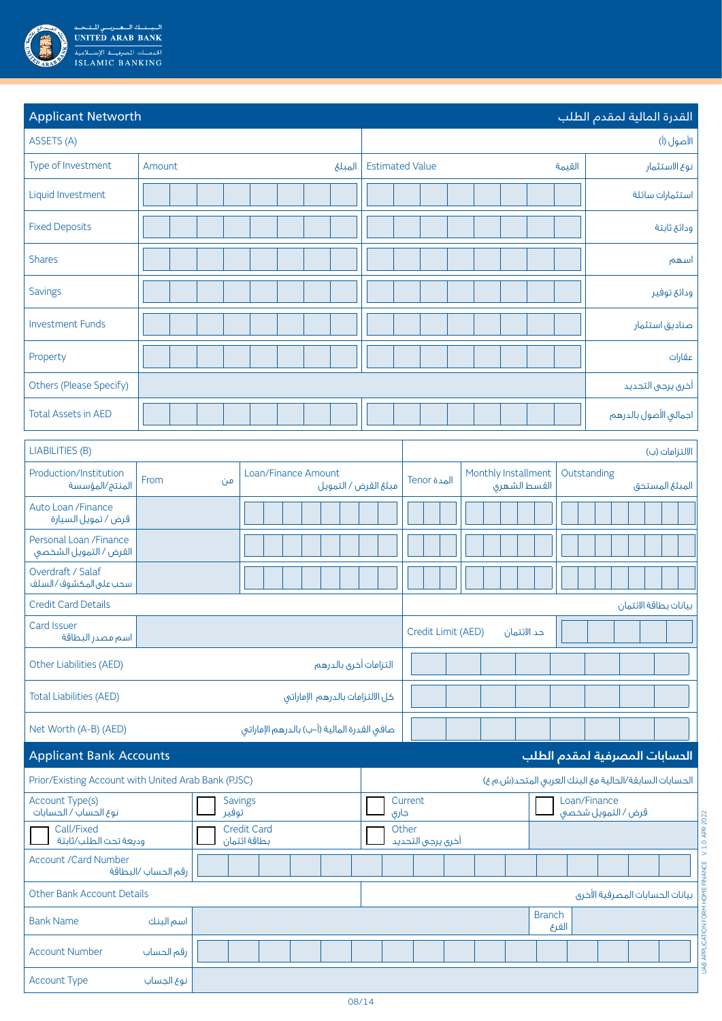

| <b>Applicant Networth</b>                                       |                         |                                    |                                             |  |                                 |                        |       |                    |                     |             |               |                                    | القدرة المالية لمقدم الطلب                             |                       |                                   |
|-----------------------------------------------------------------|-------------------------|------------------------------------|---------------------------------------------|--|---------------------------------|------------------------|-------|--------------------|---------------------|-------------|---------------|------------------------------------|--------------------------------------------------------|-----------------------|-----------------------------------|
| ASSETS (A)                                                      |                         |                                    |                                             |  |                                 |                        |       |                    |                     |             |               |                                    |                                                        | الأصول (أ)            |                                   |
| Type of Investment                                              | Amount                  |                                    |                                             |  | المبلغ                          | <b>Estimated Value</b> |       |                    |                     |             |               | القيمة                             |                                                        | نوع الاستثمار         |                                   |
| Liquid Investment                                               |                         |                                    |                                             |  |                                 |                        |       |                    |                     |             |               |                                    |                                                        | استثمارات سائلة       |                                   |
| <b>Fixed Deposits</b>                                           |                         |                                    |                                             |  |                                 |                        |       |                    |                     |             |               |                                    |                                                        | ودائع ثابتة           |                                   |
| <b>Shares</b>                                                   |                         |                                    |                                             |  |                                 |                        |       |                    |                     |             |               |                                    |                                                        |                       | اسهم                              |
| Savings                                                         |                         |                                    |                                             |  |                                 |                        |       |                    |                     |             |               |                                    |                                                        | ودائع توفير           |                                   |
| <b>Investment Funds</b>                                         |                         |                                    |                                             |  |                                 |                        |       |                    |                     |             |               |                                    |                                                        | صناديق استثمار        |                                   |
| Property                                                        |                         |                                    |                                             |  |                                 |                        |       |                    |                     |             |               |                                    |                                                        |                       | عقارات                            |
| Others (Please Specify)                                         |                         |                                    |                                             |  |                                 |                        |       |                    |                     |             |               |                                    |                                                        | أخرق يرجى التحديد     |                                   |
| <b>Total Assets in AED</b>                                      |                         |                                    |                                             |  |                                 |                        |       |                    |                     |             |               |                                    |                                                        | اجمالي الأصول بالدرهم |                                   |
| LIABILITIES (B)                                                 |                         |                                    |                                             |  |                                 |                        |       |                    |                     |             |               |                                    |                                                        | الالتزامات (ب)        |                                   |
| Production/Institution<br>المنتج/المؤسسة                        | From                    | من                                 | Loan/Finance Amount                         |  |                                 | مبلغ القرض / التمويل   |       | المدة Tenor        | Monthly Installment |             | القسط الشهرق  |                                    | Outstanding                                            | المبلغ المستحق        |                                   |
| Auto Loan / Finance<br>قرض / تمويل السيارة                      |                         |                                    |                                             |  |                                 |                        |       |                    |                     |             |               |                                    |                                                        |                       |                                   |
| Personal Loan / Finance<br>القرض / التمويل الشخصى               |                         |                                    |                                             |  |                                 |                        |       |                    |                     |             |               |                                    |                                                        |                       |                                   |
| Overdraft / Salaf<br>سحب على المكشوف/السلف                      |                         |                                    |                                             |  |                                 |                        |       |                    |                     |             |               |                                    |                                                        |                       |                                   |
| <b>Credit Card Details</b>                                      |                         |                                    |                                             |  |                                 |                        |       |                    |                     |             |               |                                    |                                                        | بيانات بطاقة الائتمان |                                   |
| Card Issuer<br>اسم مصدر البطاقة                                 |                         |                                    |                                             |  |                                 |                        |       | Credit Limit (AED) |                     | حد الائتمان |               |                                    |                                                        |                       |                                   |
| Other Liabilities (AED)                                         |                         |                                    |                                             |  | التزامات أخرى بالدرهم           |                        |       |                    |                     |             |               |                                    |                                                        |                       |                                   |
| <b>Total Liabilities (AED)</b>                                  |                         |                                    |                                             |  | كل الالتزامات بالدرهم الإماراتى |                        |       |                    |                     |             |               |                                    |                                                        |                       |                                   |
| Net Worth (A-B) (AED)                                           |                         |                                    | صافى القدرة المالية (أ–ب) بالدرهم الإماراتى |  |                                 |                        |       |                    |                     |             |               |                                    |                                                        |                       |                                   |
| <b>Applicant Bank Accounts</b><br>الحسابات المصرفية لمقدم الطلب |                         |                                    |                                             |  |                                 |                        |       |                    |                     |             |               |                                    |                                                        |                       |                                   |
| Prior/Existing Account with United Arab Bank (PJSC)             |                         |                                    |                                             |  |                                 |                        |       |                    |                     |             |               |                                    | الحسابات السابقة/الحالية مع البنك العربى المتحد(ش.م.ع) |                       |                                   |
| Account Type(s)<br>نوع الحساب / الحسابات                        | <b>Savings</b><br>توفير |                                    |                                             |  |                                 | Current<br>جارى        |       |                    |                     |             |               | Loan/Finance<br>قرض / التمويل شخصى |                                                        |                       |                                   |
| Call/Fixed<br>وديعة تحت الطلب/ثابتة                             |                         | <b>Credit Card</b><br>بطاقة ائتمان |                                             |  |                                 |                        | Other | أخرق يرجى التحديد  |                     |             |               |                                    |                                                        |                       | V. 1.0 APR 2022                   |
| <b>Account /Card Number</b>                                     | رقم الحساب /البطاقة     |                                    |                                             |  |                                 |                        |       |                    |                     |             |               |                                    |                                                        |                       |                                   |
| <b>Other Bank Account Details</b>                               |                         |                                    |                                             |  |                                 |                        |       |                    |                     |             |               |                                    | بيانات الحسابات المصرفية الأخرى                        |                       |                                   |
| <b>Bank Name</b>                                                | اسم البنك               |                                    |                                             |  |                                 |                        |       |                    |                     |             | <b>Branch</b> | الفرع                              |                                                        |                       |                                   |
| <b>Account Number</b>                                           | رقم الحساب              |                                    |                                             |  |                                 |                        |       |                    |                     |             |               |                                    |                                                        |                       | UAB APPLICATION FORM HOME FINANCE |
| <b>Account Type</b>                                             | نوع الجساب              |                                    |                                             |  |                                 |                        |       |                    |                     |             |               |                                    |                                                        |                       |                                   |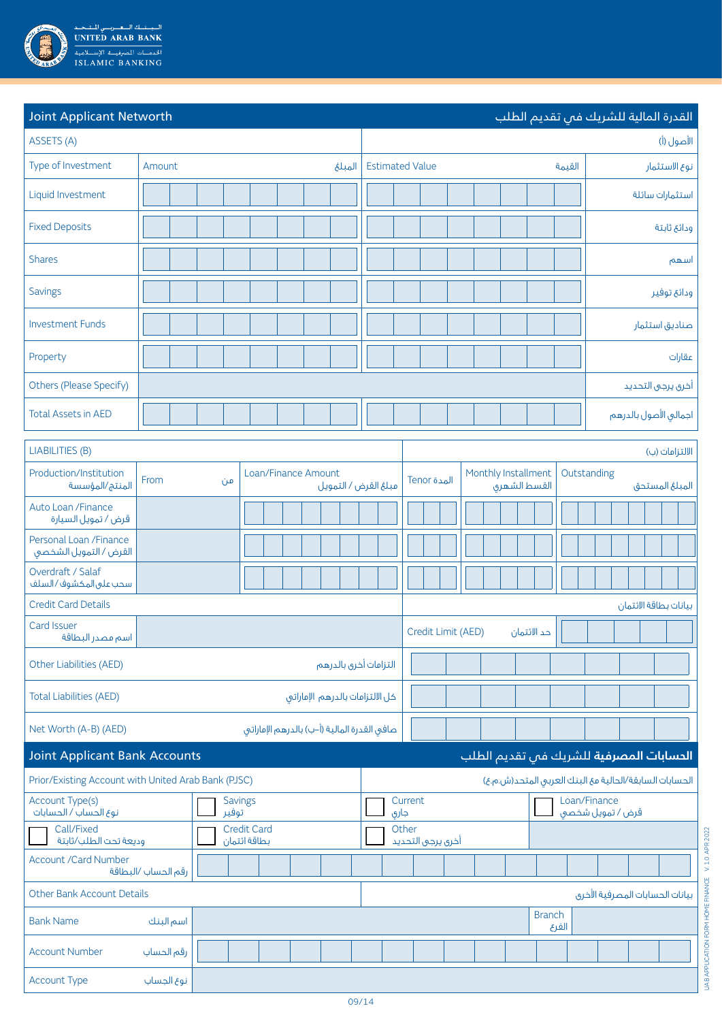

| <b>Joint Applicant Networth</b>                              |                                    |    |                                             |                                                     |                                                        |  |                    |  |  |                                     |               |        |             | القدرة المالية للشريك فبي تقديم الطلب   |                   |  |
|--------------------------------------------------------------|------------------------------------|----|---------------------------------------------|-----------------------------------------------------|--------------------------------------------------------|--|--------------------|--|--|-------------------------------------|---------------|--------|-------------|-----------------------------------------|-------------------|--|
| ASSETS (A)                                                   |                                    |    |                                             |                                                     | الأصول (أ)                                             |  |                    |  |  |                                     |               |        |             |                                         |                   |  |
| Type of Investment                                           | Amount                             |    |                                             | المبلغ                                              | <b>Estimated Value</b>                                 |  |                    |  |  |                                     |               | القيمة |             |                                         | نوع الاستثمار     |  |
| Liquid Investment                                            |                                    |    |                                             |                                                     |                                                        |  |                    |  |  |                                     |               |        |             |                                         | استثمارات سائلة   |  |
| <b>Fixed Deposits</b>                                        |                                    |    |                                             |                                                     |                                                        |  |                    |  |  |                                     |               |        |             |                                         | ودائع ثابتة       |  |
| <b>Shares</b>                                                |                                    |    |                                             |                                                     |                                                        |  |                    |  |  |                                     |               |        |             |                                         | اسهم              |  |
| Savings                                                      |                                    |    |                                             |                                                     |                                                        |  |                    |  |  |                                     |               |        |             |                                         | ودائع توفير       |  |
| <b>Investment Funds</b>                                      |                                    |    |                                             |                                                     |                                                        |  |                    |  |  |                                     |               |        |             |                                         | صناديق استثمار    |  |
| Property                                                     |                                    |    |                                             |                                                     |                                                        |  |                    |  |  |                                     |               |        |             |                                         | عقارات            |  |
| Others (Please Specify)                                      |                                    |    |                                             |                                                     |                                                        |  |                    |  |  |                                     |               |        |             |                                         | أخرق يرجى التحديد |  |
| <b>Total Assets in AED</b>                                   |                                    |    |                                             |                                                     |                                                        |  |                    |  |  |                                     |               |        |             | اجمالى الأصول بالدرهم                   |                   |  |
| LIABILITIES (B)                                              |                                    |    |                                             |                                                     |                                                        |  |                    |  |  |                                     |               |        |             |                                         | الالتزامات (ب)    |  |
| Production/Institution<br>المنتج/المؤسسة                     | From                               | من | Loan/Finance Amount                         | مبلغ القرض / التمويل                                |                                                        |  | المدة Tenor        |  |  | Monthly Installment<br>القسط الشهرى |               |        | Outstanding |                                         | المبلغ المستحق    |  |
| Auto Loan / Finance<br>قرض / تمويل السيارة                   |                                    |    |                                             |                                                     |                                                        |  |                    |  |  |                                     |               |        |             |                                         |                   |  |
| Personal Loan / Finance<br>القرض / التمويل الشخصى            |                                    |    |                                             |                                                     |                                                        |  |                    |  |  |                                     |               |        |             |                                         |                   |  |
| Overdraft / Salaf<br>سحب على المكشوف/السلف                   |                                    |    |                                             |                                                     |                                                        |  |                    |  |  |                                     |               |        |             |                                         |                   |  |
| <b>Credit Card Details</b>                                   |                                    |    |                                             |                                                     |                                                        |  |                    |  |  |                                     |               |        |             | بيانات بطاقة الائتمان                   |                   |  |
| Card Issuer<br>اسم مصدر البطاقة                              |                                    |    |                                             |                                                     |                                                        |  | Credit Limit (AED) |  |  |                                     | حد الائتمان   |        |             |                                         |                   |  |
| Other Liabilities (AED)                                      |                                    |    |                                             | التزامات أخرى بالدرهم                               |                                                        |  |                    |  |  |                                     |               |        |             |                                         |                   |  |
| <b>Total Liabilities (AED)</b>                               |                                    |    | كل الالتزامات بالدرهم الإماراتى             |                                                     |                                                        |  |                    |  |  |                                     |               |        |             |                                         |                   |  |
| Net Worth (A-B) (AED)                                        |                                    |    | صافى القدرة المالية (أ–ب) بالدرهم الإماراتى |                                                     |                                                        |  |                    |  |  |                                     |               |        |             |                                         |                   |  |
| <b>Joint Applicant Bank Accounts</b>                         |                                    |    |                                             |                                                     |                                                        |  |                    |  |  |                                     |               |        |             | الحسابات المصرفية للشريك فى تقديم الطلب |                   |  |
| Prior/Existing Account with United Arab Bank (PJSC)          |                                    |    |                                             |                                                     | الحسابات السابقة/الحالية مع البنك العربى المتحد(ش.م.ع) |  |                    |  |  |                                     |               |        |             |                                         |                   |  |
| Account Type(s)<br>Savings<br>نوع الحساب / الحسابات<br>توفير |                                    |    |                                             | Loan/Finance<br>Current<br>قرض / تمويل شخصى<br>جارى |                                                        |  |                    |  |  |                                     |               |        |             |                                         |                   |  |
| Call/Fixed<br>وديعة تحت الطلب/ثابتة                          | <b>Credit Card</b><br>بطاقة ائتمان |    |                                             |                                                     | Other<br>أخرق يرجى التحديد                             |  |                    |  |  |                                     |               |        |             |                                         |                   |  |
| <b>Account /Card Number</b>                                  | رقم الحساب /البطاقة                |    |                                             |                                                     |                                                        |  |                    |  |  |                                     |               |        |             |                                         |                   |  |
| Other Bank Account Details                                   |                                    |    |                                             |                                                     |                                                        |  |                    |  |  |                                     |               |        |             | بيانات الحسابات المصرفية الأخرى         |                   |  |
| <b>Bank Name</b>                                             | اسم البنك                          |    |                                             |                                                     |                                                        |  |                    |  |  |                                     | <b>Branch</b> | الفرع  |             |                                         |                   |  |
| <b>Account Number</b>                                        | رقم الحساب                         |    |                                             |                                                     |                                                        |  |                    |  |  |                                     |               |        |             |                                         |                   |  |
| Account Type                                                 | نوع الجساب                         |    |                                             |                                                     |                                                        |  |                    |  |  |                                     |               |        |             |                                         |                   |  |

UAB APPLICATION FORM HOME FINANCE V. 1.0 APR 2022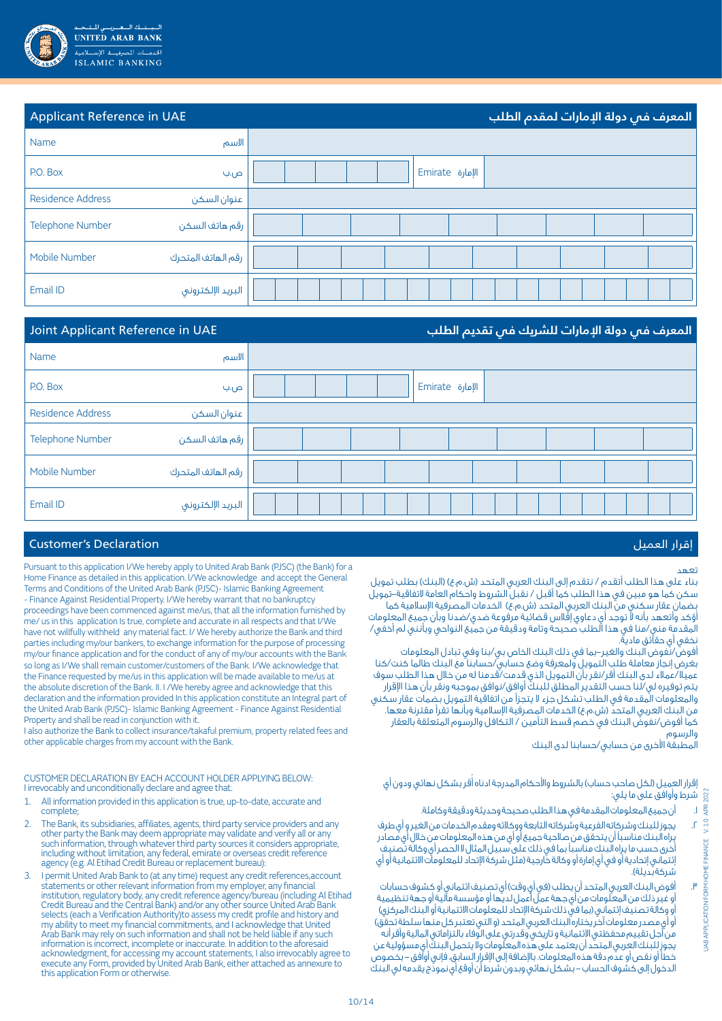

| Applicant Reference in UAE |                    |                        | المعرف فم دولة الإمارات لمقدم الطلب |
|----------------------------|--------------------|------------------------|-------------------------------------|
| Name                       | الاسم              |                        |                                     |
| P.O. Box                   | ص.ب                | Emirate <i>الإمارة</i> |                                     |
| <b>Residence Address</b>   | عنوان السكن        |                        |                                     |
| <b>Telephone Number</b>    | رقم هاتف السكن     |                        |                                     |
| Mobile Number              | رقم الهاتف المتحرك |                        |                                     |
| Email ID                   | البريد الإلكتروني  |                        |                                     |

| Joint Applicant Reference in UAE |                    | المعرف فص دولة الإمارات للشريك فص تقديم الطلب |
|----------------------------------|--------------------|-----------------------------------------------|
| Name                             | الاسم              |                                               |
| P.O. Box                         | ص.ب                | Emirate <i>الإمارة</i>                        |
| <b>Residence Address</b>         | عنوان السكن        |                                               |
| <b>Telephone Number</b>          | رقم هاتف السكن     |                                               |
| Mobile Number                    | رقم الهاتف المتحرك |                                               |
| Email ID                         | البريد الإلكتروني  |                                               |

### Customer's Declaration العميل إقرار

#### Pursuant to this application I/We hereby apply to United Arab Bank (PJSC) (the Bank) for a Home Finance as detailed in this application. l/We acknowledge and accept the General Terms and Conditions of the United Arab Bank (PJSC)- Islamic Banking Agreement - Finance Against Residential Property. I/We hereby warrant that no bankruptcy proceedings have been commenced against me/us, that all the information furnished by me/ us in this application Is true, complete and accurate in all respects and that I/We have not willfully withheld any material fact. I/ We hereby authorize the Bank and third parties including my/our bankers, to exchange information for the purpose of processing my/our finance application and for the conduct of any of my/our accounts with the Bank so long as I/We shall remain customer/customers of the Bank. I/We acknowledge that the Finance requested by me/us in this application will be made available to me/us at the absolute discretion of the Bank. II. I /We hereby agree and acknowledge that this declaration and the information provided In this application constitute an Integral part of the United Arab Bank (PJSC)- Islamic Banking Agreement - Finance Against Residential Property and shall be read in conjunction with it.

I also authorize the Bank to collect insurance/takaful premium, property related fees and other applicable charges from my account with the Bank.

CUSTOMER DECLARATION BY EACH ACCOUNT HOLDER APPLYING BELOW: I irrevocably and unconditionally declare and agree that.

- 1. All information provided in this application is true, up-to-date, accurate and complete;
- The Bank, its subsidiaries, affiliates, agents, third party service providers and any other party the Bank may deem appropriate may validate and verify all or any such information, through whatever third party sources it considers appropriate, including without limitation, any federal, emirate or overseas credit reference agency (e.g. Al Etihad Credit Bureau or replacement bureau):
- 3. I permit United Arab Bank to (at any time) request any credit references,account statements or other relevant information from my employer, any financial institution, regulatory body, any credit reference agency/bureau (including Al Etihad Credit Bureau and the Central Bank) and/or any other source United Arab Bank selects (each a Verification Authority)to assess my credit profile and history and my ability to meet my financial commitments, and I acknowledge that United Arab Bank may rely on such information and shall not be held liable if any such information is incorrect, incomplete or inaccurate. In addition to the aforesaid acknowledgment, for accessing my account statements, I also irrevocably agree to execute any Form, provided by United Arab Bank, either attached as annexure to this application Form or otherwise.

### تعهد

UAB APPLICATION FORM HOME FINANCE V. 1.0 APR 2022

UAB APPLICATION FORM HOME FINANCE

V.1.0 APR 2022

بناء على هذا الطلب أتقدم / نتقدم إلى إلبنك العربي المتحد (ش.م.ع) (البنك) بطلب تمويل سكن كما هو مبين في هذا الطلب كما أقبل / نقبل الشروط واحكام العامة التفاقية-تمويل بضمان عقار سكني من البنك العربي المتحد (ش.م.ع) الخدمات المصرفية الإسلامية كما أؤكد وأتعهد بأنه ال توجد أي دعاوي إفالس قضائية مرفوعة ضدي/ضدنا وبأن جميع المعلومات المقدمة مني/منا في هذا الطلب صحيحة وتامة ودقيقة من جميع النواحي وبأنني لم أخفي/ نخفي أي حقائق مادية.

أفوض/نفوض البنك والغير-بما في ذلك البنك الخاص بي/بنا وفي تبادل المعلومات بغرض إنجاز معاملة طلب التمويل ولمعرفة وضع حسابي/حسابنا مع البنك طالما كنت/كنا عميال/عمالء لدى البنك أقر/نقر بأن التمويل الذي قدمت/قدمنا له من خالل هذا الطلب سوف يتم توفيره لي/لنا حسب التقدير المطلق للبنك أوافق/نوافق بموجبه ونقر بأن هذا اإلقرار والمعلومات المقدمة في الطلب تشكل جزء ال يتجزأ من اتفاقية التمويل بضمات عقار سكني من البنك العربي المتحدّ (ش.م.ع) الخدمات المصرفية الإسلامية وبأنها تقرأ مقترنة معها. كما أفوض/نفوض البنك في خصم قسط التأمين / التكافل والرسوم المتعلقة بالعقار والرسوم

المطبقة األخرى من حسابي/حسابنا لدى البنك

إقرار العميل (لكل صاحب حساب) بالشروط والأحكام المدرجة ادناه أقربشكل نهائى ودون أى شرط وأوافق على ما يلي:

- . أن جميع المعلومات المقدمة في هذا الطلب صحيحة وحديثة ودقيقة وكاملة.
- . يجوز للبنك وشركاته الفرعية وشركاته التابعة ووكالئه ومقدم الخدمات من الغير و أي طرف يراه البنك مناسبًا أن يتحقق من صالحية جميع أو أي من هذه المعلومات من خالل أي مصادر أخرى حسب ما يراه البنك مناسبًا بما في ذلك على سبيل المثال ال الحصر أي وكالة تصنيف إئتماني إتحادية أو في أي إمارة أو وكالة خارجية )مثل شركة اإلتحاد للمعلومات االئتمانية أو أي شركة بديلة).
- . أفوض البنك العربي المتحد أن يطلب )في أي وقت( أي تصنيف ائتماني أو كشوف حسابات أو غير ذلك من المعلومات من أي جهة عمل أعمل لديها أو مؤسسة مالية أو جهة تنظيمية أو وكالة تصنيف إئتماني (بما في ذلك شركة الإتحاد للمعلومات الائتمانية أو البنك المركزي) أو أي مصدر معلومات آخر يختاره البنك العربي المتحد (و التي تعتبر كل منها سلطة تحقّق) من أجل تقييم محفظتي االئتمانية و تاريخي وقدرتي على الوفاء بالتزاماتي المالية وأقر أنه يجوز للبنك العربي المتحد أن يعتمد على هذه المعلومات وال يتحمل البنك أي مسؤولية عن خطأ أو نقص أو عدم دقة هذه المعلومات. باإلضافة إلى اإلقرار السابق، فإني أوافق - بخصوص الدخول إلى كشوف الحساب - بشكل نهائي وبدون شرط أن أوقع أي نموذج يقدمه لي البنك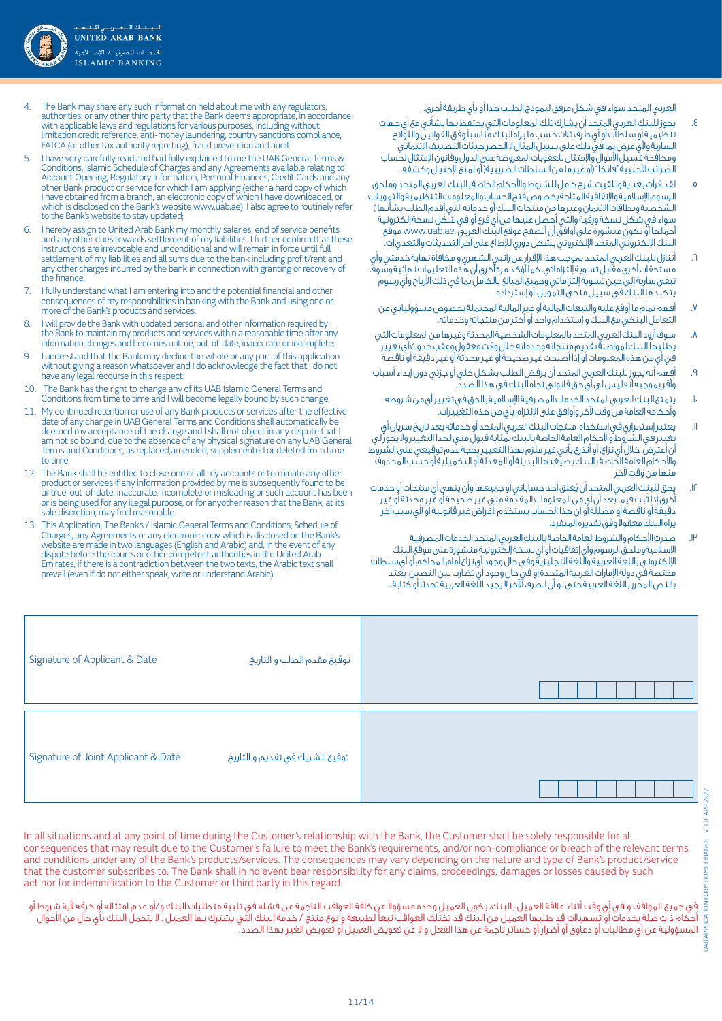

العربي المتحد سواء في شكل مرفق لنموذج الطلب هذا أو بأي طريقة أخرى.

- . يجوز للبنك العربي المتحد أن يشارك تلك المعلومات التي يحتفظ بها بشأني مع أي جهات تَنظيمية أو سلطات أو أي طرفَ ثلاث حسب ما يراه البنك مناسباً وفق القوانين واللوائح السارية وألي غرض بما في ذلك على سبيل المثال ال الحصر هيئات التصنيف االئتماني ومكافحة غسيل األموال واإلمتثال للعقوبات المفروضة على الدول وقانون اإلمتثال لحساب الضرائب الأجنبية "فاتكا" (أو غيرها من السلطات الضريبية( أو لمنع الإحتيال وكشفه.
- . لقد قرأت بعناية وتلقيت شرح كامل للشروط واألحكام الخاصة بالبنك العربي المتحد وملحق الرسوم اإلسالمية واإلتفاقية المتاحة بخصوص فتح الحساب والمعلومات التنظيمية والتمويالت الشخصية وبطاقات الائتمان وغيرها من منتجات البنك أو خدماته التي أقدم الطلب بشأنها ) سواء في شكل نسخة ورقية والتي أحصل عليها من أي فرع أو في شكل نسخة إلكترونية أحملها أو تكون منشورة على أوافق أن أتصفح موقع البنك العربي ،ae.uab.www موقع البنك اإللكتروني المتحد اإللكتروني بشكل دوري لإلط اع على آخر التحديثات والتعدي ات.
- . أتنازل للبنك العربي المتحد بموجب هذا اإلقرار عن راتبي الشهري و مكافأة نهاية خدمتي وأي مستحقات أخرى مقابل تسوية إلتزاماتي، كما أؤكد مرة أخرى أن هذه التعليمات نهائية وسوفً تبقى سارية إلى حين تسوية إلتزاماتى وجميع المبالغ بالكامل بما فى ذلك الأرباح وأى رسوم يتكبدها البنك في سبيل منحي التمويل أو إسترداده.
	- . أفهم تمام ما أوقع عليه والتبعات المالية أو غير المالية المحتملة بخصوص مسؤولياتي عن التعامل البنكي مع البنك و إستخدام واحد أو أكثر من منتجاته وخدماته.
- . سوف أزود البنك العربي المتحد بالمعلومات الشخصية المحدثة وغيرها من المعلومات التي يطلبها البنك لمواصلة تقديم منتجاته وخدماته خالل وقت معقول وعقب حدوث أي تغيير في أي من هذه المعلومات أو إذا أصبحت غير صحيحة أو غير محدثة أو غير دقيقة أو ناقصة
- . أفهم أنه يجوز للبنك العربي المتحد أن يرفض الطلب بشكل كلي أو جزئي دون إبداء أسباب وأقر بموجبه أنه ليس لي أي حق قانوني تجاه البنك في هذا الصدد.
	- يتمتع البنك العربى المتحد الخدمات المصرفية الإسالمية بالحق فى تغيير أي من شروطه وأحكامه العامة من وقت آلخر وأوافق على اإللتزام بأي من هذه التغييرات.
- 11.يعتبر إستمراري في إستخدام منتجات البنك العربي المتحد أو خدماته بعد تاريخ سريان أي تغيير في الشروط والأحكام العامة الخاصة بالبنك بمثابة قبول منى لهذا التغيير ولا يجوز لي أن أعترض، خالل أي نزاع، أو أتذرع بأني غير ملزم بهذا التغيير بحجة عدم توقيعي على الشروط واألحكام العامة الخاصة بالبنك بصيغتها البديلة أو المعدلة أو التكميلية أو حسب المحذوف منها من وقت آلخر
- ُ12. يحق للبنك العربي المتحد أن يغلق أحد حساباتي أو جميعها وأن ينهي أي منتجات أو خدمات ُ أخرى إذا ثبت فيما بعد أن أي من المعلومات المقدمة مني غير صحيحة أو غير محدثة أو غير دقيقة أو ناقصة أو مضللة أو أن هذا الحساب يستخدم ألغراض غير قانونية أو ألي سبب آخر يراه البنك معقولا وفق تقديره المنفرد.
- 13.صدرت األحكام والشروط العامة الخاصة بالبنك العربي المتحد الخدمات المصرفية االسالميةوملحق الرسوم وأي إتفاقيات أو أي نسخة إلكترونية منشورة على موقع البنك اإللكتروني باللغة العربية واللغة اإلنجليزية وفي حال وجود أي نزاع أمام المحاكم أو أي سلطات مختصة في دولة اإلمارات العربية المتحدة أو في حال وجود أي تضارب بين النصين، يعتد بالنص المحرر باللغة العربية حتى لو أن الطرف اآلخر ال يجيد اللغة العربية تحدثا أو كتابة...
- 4. The Bank may share any such information held about me with any regulators, authorities, or any other third party that the Bank deems appropriate, in accordance with applicable laws and regulations for various purposes, including without limitation credit reference, anti-money laundering, country sanctions compliance, FATCA (or other tax authority reporting), fraud prevention and audit
- 5. I have very carefully read and had fully explained to me the UAB General Terms & Conditions, Islamic Schedule of Charges and any Agreements available relating to Account Opening, Regulatory Information, Personal Finances, Credit Cards and any other Bank product or service for which I am applying (either a hard copy of which I have obtained from a branch, an electronic copy of which I have downloaded, or which is disclosed on the Bank's website www.uab.ae). I also agree to routinely refer to the Bank's website to stay updated;
- I hereby assign to United Arab Bank my monthly salaries, end of service benefits and any other dues towards settlement of my liabilities. I further confirm that these instructions are irrevocable and unconditional and will remain in force until full settlement of my liabilities and all sums due to the bank including profit/rent and any other charges incurred by the bank in connection with granting or recovery of the finance.
- 7. I fully understand what I am entering into and the potential financial and other consequences of my responsibilities in banking with the Bank and using one or more of the Bank's products and services;
- I will provide the Bank with updated personal and other information required by the Bank to maintain my products and services within a reasonable time after any information changes and becomes untrue, out-of-date, inaccurate or incomplete;
- 9. I understand that the Bank may decline the whole or any part of this application without giving a reason whatsoever and I do acknowledge the fact that I do not have any legal recourse in this respect;
- 10. The Bank has the right to change any of its UAB Islamic General Terms and Conditions from time to time and I will become legally bound by such change;
- 11. My continued retention or use of any Bank products or services after the effective date of any change in UAB General Terms and Conditions shall automatically be deemed my acceptance of the change and I shall not object in any dispute that I am not so bound, due to the absence of any physical signature on any UAB General Terms and Conditions, as replaced,amended, supplemented or deleted from time to time;
- 12. The Bank shall be entitled to close one or all my accounts or terminate any other product or services if any information provided by me is subsequently found to be untrue, out-of-date, inaccurate, incomplete or misleading or such account has been or is being used for any illegal purpose, or for anyother reason that the Bank, at its sole discretion, may find reasonable.
- 13. This Application, The Bank's / Islamic General Terms and Conditions, Schedule of Charges, any Agreements or any electronic copy which is disclosed on the Bank's website are made in two languages (English and Arabic) and, in the event of any dispute before the courts or other competent authorities in the United Arab Emirates, if there is a contradiction between the two texts, the Arabic text shall prevail (even if do not either speak, write or understand Arabic).

| Signature of Applicant & Date       | توقيع مقدم الطلب و التاريخ      |  |
|-------------------------------------|---------------------------------|--|
| Signature of Joint Applicant & Date | توقيع الشريك في تقديم و التاريخ |  |

In all situations and at any point of time during the Customer's relationship with the Bank, the Customer shall be solely responsible for all consequences that may result due to the Customer's failure to meet the Bank's requirements, and/or non-compliance or breach of the relevant terms and conditions under any of the Bank's products/services. The consequences may vary depending on the nature and type of Bank's product/service that the customer subscribes to. The Bank shall in no event bear responsibility for any claims, proceedings, damages or losses caused by such act nor for indemnification to the Customer or third party in this regard.

فى جميع المواقف و فى أى وقت أثناء علاقة العميل بالبنك، يكون العميل وحده مسؤولا عن كافة العواقب الناجمة عن فشله فى تلبية متطلبات البنك و/أو عدم امتثاله أو خرقه لأية شروط أو كام ذات صلة بخدمات أو تسهيلات قد طلبها العميل من البنك قد تختلف العواقب تبعاً لطبيعة و نوع منتج / خدمة البنك التي يشترك بها العميل . لا يتحمل البنك بأي حال من الأحوال المسؤولية عن أي مطالبات أو دعاوى أو أضرار أو خسائر ناجمة عن هذ1 الفعل و ال عن تعويض العميل أو تعويض الغير بهذا الصدد.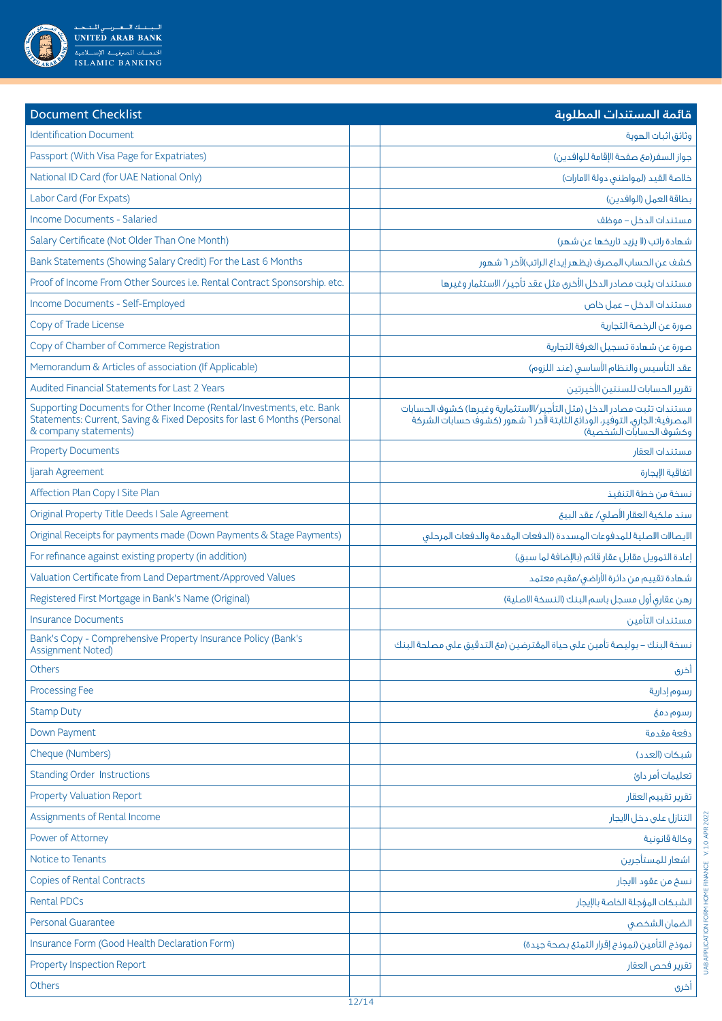

| <b>Document Checklist</b>                                                                                                                                                 | قائمة المستندات المطلوبة                                                                                                                                                         |
|---------------------------------------------------------------------------------------------------------------------------------------------------------------------------|----------------------------------------------------------------------------------------------------------------------------------------------------------------------------------|
| <b>Identification Document</b>                                                                                                                                            | وثائق اثبات الهوية                                                                                                                                                               |
| Passport (With Visa Page for Expatriates)                                                                                                                                 | جواز السغر(مع صفحة الإقامة للوافدين)                                                                                                                                             |
| National ID Card (for UAE National Only)                                                                                                                                  | خلاصة القيد (لمواطني دولة الامارات)                                                                                                                                              |
| Labor Card (For Expats)                                                                                                                                                   | بطاقة العمل (الوافدين)                                                                                                                                                           |
| <b>Income Documents - Salaried</b>                                                                                                                                        | فستندات الدخل – فوظف                                                                                                                                                             |
| Salary Certificate (Not Older Than One Month)                                                                                                                             | شهادة راتب (لا يزيد تاريخها عن شهر)                                                                                                                                              |
| Bank Statements (Showing Salary Credit) For the Last 6 Months                                                                                                             | كشف عن الحساب المصرف (يظهر إيداع الراتب)لآخر ٦ شهور                                                                                                                              |
| Proof of Income From Other Sources i.e. Rental Contract Sponsorship. etc.                                                                                                 | مستندات يثبت مصادر الدخل الأخرى مثل عقد تأجير/ الاستثمار وغيرها                                                                                                                  |
| Income Documents - Self-Employed                                                                                                                                          | مستندات الدخل – عمل خاص                                                                                                                                                          |
| Copy of Trade License                                                                                                                                                     | صورة عن الرخصة التجارية                                                                                                                                                          |
| Copy of Chamber of Commerce Registration                                                                                                                                  | صورة عن شهادة تسجيل الغرفة التجارية                                                                                                                                              |
| Memorandum & Articles of association (If Applicable)                                                                                                                      | عقد التأسيس والنظام الأساسي (عند اللزوم)                                                                                                                                         |
| Audited Financial Statements for Last 2 Years                                                                                                                             | تقرير الحسابات للسنتين الأخيرتين                                                                                                                                                 |
| Supporting Documents for Other Income (Rental/Investments, etc. Bank<br>Statements: Current, Saving & Fixed Deposits for last 6 Months (Personal<br>& company statements) | مستندات تثبت مصادر الدخل (مثل التأجير/الاستثمارية وغيرها) كشوف الحسابات<br>المصرفية: الجارق، التوفير، الودائع الثابتة لآخر ٦ شهور (كشوف حسابات الشركة<br>وكشوف الحسابات الشخصية) |
| <b>Property Documents</b>                                                                                                                                                 | مستندات العقار                                                                                                                                                                   |
| ljarah Agreement                                                                                                                                                          | اتفاقية الإيجارة                                                                                                                                                                 |
| Affection Plan Copy I Site Plan                                                                                                                                           | نسخة من خطة التنفيذ                                                                                                                                                              |
| Original Property Title Deeds I Sale Agreement                                                                                                                            | سند ملكية العقار الأصلى/ عقد البيع                                                                                                                                               |
| Original Receipts for payments made (Down Payments & Stage Payments)                                                                                                      | الايصالات الاصلية للمدفوعات المسددة (الدفعات المقدمة والدفعات المرحلق                                                                                                            |
| For refinance against existing property (in addition)                                                                                                                     | إعادة التمويل مقابل عقار قائم (بالإضافة لما سبق)                                                                                                                                 |
| Valuation Certificate from Land Department/Approved Values                                                                                                                | شهادة تقييم من دائرة الأراضى/مقيم معتمد                                                                                                                                          |
| Registered First Mortgage in Bank's Name (Original)                                                                                                                       | رهن عقارى أول مسجل باسم البنك (النسخة الاصلية)                                                                                                                                   |
| <b>Insurance Documents</b>                                                                                                                                                | مستندات التأمين                                                                                                                                                                  |
| Bank's Copy - Comprehensive Property Insurance Policy (Bank's<br><b>Assignment Noted)</b>                                                                                 | نسخة البنك – بوليصة تأمين على حياة المقترضين (مع التدقيق على مصلحة البنك                                                                                                         |
| Others                                                                                                                                                                    | أخرى                                                                                                                                                                             |
| <b>Processing Fee</b>                                                                                                                                                     | رسوم إدارية                                                                                                                                                                      |
| <b>Stamp Duty</b>                                                                                                                                                         | رسوم دمځ                                                                                                                                                                         |
| Down Payment                                                                                                                                                              | دفعة مقدمة                                                                                                                                                                       |
| Cheque (Numbers)                                                                                                                                                          | شبكات (العدد)                                                                                                                                                                    |
| <b>Standing Order Instructions</b>                                                                                                                                        | تعليمات أمر دائ                                                                                                                                                                  |
| <b>Property Valuation Report</b>                                                                                                                                          | تقرير تقييم العقار                                                                                                                                                               |
| Assignments of Rental Income                                                                                                                                              | التنازل على دخل الايجار                                                                                                                                                          |
| Power of Attorney                                                                                                                                                         | وكالة قانونية                                                                                                                                                                    |
| Notice to Tenants                                                                                                                                                         | اشعار للمستأجرين                                                                                                                                                                 |
| <b>Copies of Rental Contracts</b>                                                                                                                                         | نسخ من عقود الايجار                                                                                                                                                              |
| <b>Rental PDCs</b>                                                                                                                                                        | الشبكات المؤجلة الخاصة بالإيجار                                                                                                                                                  |
| <b>Personal Guarantee</b>                                                                                                                                                 | الضمان الشخصى                                                                                                                                                                    |
| Insurance Form (Good Health Declaration Form)                                                                                                                             | نموذج التأمين (نموذج إقرار التمتع بصحة جيدة)                                                                                                                                     |
| <b>Property Inspection Report</b>                                                                                                                                         | تقرير فحص العقار                                                                                                                                                                 |
| Others                                                                                                                                                                    | أخرى                                                                                                                                                                             |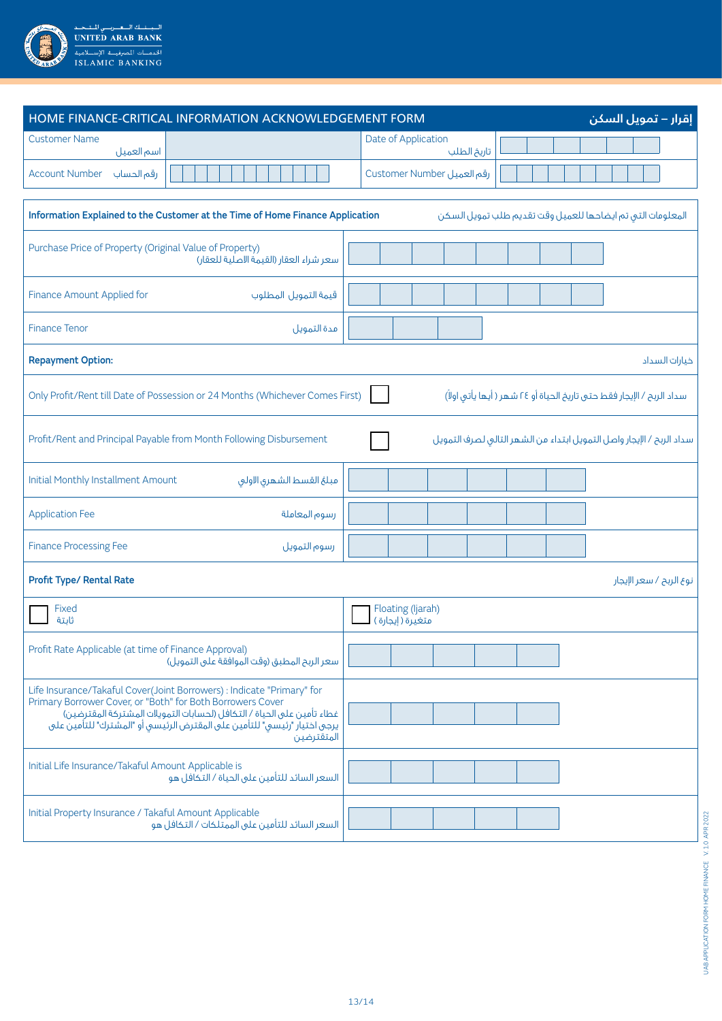

| HOME FINANCE-CRITICAL INFORMATION ACKNOWLEDGEMENT FORM                                                                                                                                                                                                                                                   | إقرار – تمويل السكن                                                    |
|----------------------------------------------------------------------------------------------------------------------------------------------------------------------------------------------------------------------------------------------------------------------------------------------------------|------------------------------------------------------------------------|
| <b>Customer Name</b><br>اسم العميل                                                                                                                                                                                                                                                                       | Date of Application<br>تاريخ الطلب                                     |
| <b>Account Number</b><br>رقم الحساب                                                                                                                                                                                                                                                                      | رقم العميل Customer Number                                             |
| Information Explained to the Customer at the Time of Home Finance Application                                                                                                                                                                                                                            | المعلومات التى تم ايضاحها للعميل وقت تقديم طلب تمويل السكن             |
| Purchase Price of Property (Original Value of Property)<br>سعر شراء العقار (القيمة الاصلية للعقار)                                                                                                                                                                                                       |                                                                        |
| Finance Amount Applied for<br>قيمة التمويل المطلوب                                                                                                                                                                                                                                                       |                                                                        |
| <b>Finance Tenor</b><br>مدة التمويل                                                                                                                                                                                                                                                                      |                                                                        |
| <b>Repayment Option:</b>                                                                                                                                                                                                                                                                                 | خيارات السداد                                                          |
| Only Profit/Rent till Date of Possession or 24 Months (Whichever Comes First)                                                                                                                                                                                                                            | سداد الربح / الإيجار فقط حتى تاريخ الحياة أو ٢٤ شهر ( أيها يأتى اولاً) |
| Profit/Rent and Principal Payable from Month Following Disbursement                                                                                                                                                                                                                                      | سداد الربح / الإيجار واصل التمويل ابتداء من الشهر التالى لصرف التمويل  |
| Initial Monthly Installment Amount<br>مبلغ القسط الشهرى الأولى                                                                                                                                                                                                                                           |                                                                        |
| <b>Application Fee</b><br>رسوم المعاملة                                                                                                                                                                                                                                                                  |                                                                        |
| <b>Finance Processing Fee</b><br>رسوم التمويل                                                                                                                                                                                                                                                            |                                                                        |
| <b>Profit Type/ Rental Rate</b>                                                                                                                                                                                                                                                                          | نوع الربح / سعر الإيجار                                                |
| Fixed<br>ثابتة                                                                                                                                                                                                                                                                                           | Floating (Ijarah)<br>متغيَّرة (إيجارة )                                |
| Profit Rate Applicable (at time of Finance Approval)<br>سعر الربح المطبق (وقت الُموافقةُ على التمويل)                                                                                                                                                                                                    |                                                                        |
| Life Insurance/Takaful Cover(Joint Borrowers) : Indicate "Primary" for<br>Primary Borrower Cover, or "Both" for Both Borrowers Cover<br>غطاء تأمين على الحياة / التكافل (لحسابات التمويلات المشتركة المقترضين)<br>يرجى اختيار "رئيسي" للتأمين على المقترض الرئيسي أو "المشترك" للتأمين على<br>المتقترضين |                                                                        |
| Initial Life Insurance/Takaful Amount Applicable is<br>السعر السائد للتأمين على الحياة / التكافل هو                                                                                                                                                                                                      |                                                                        |
| Initial Property Insurance / Takaful Amount Applicable<br>السعر السائد للتأمين على الممتلكات / التكافل هو                                                                                                                                                                                                |                                                                        |